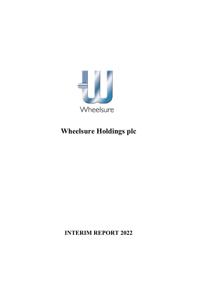

# Wheelsure Holdings plc

## INTERIM REPORT 2022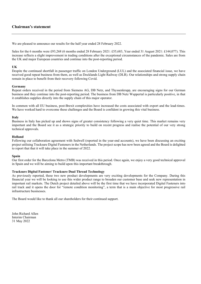## Chairman's statement

We are pleased to announce our results for the half year ended 28 February 2022.

Sales for the 6 months were £93,268 (6 months ended 28 February 2021: £55,683, Year ended 31 August 2021: £144,077). This increase reflects a slight improvement in trading conditions after the exceptional circumstances of the pandemic. Sales are from the UK and major European countries and continue into the post-reporting period.

#### UK

Despite the continued shortfall in passenger traffic on London Underground (LUL) and the associated financial issue, we have received good repeat business from them, as well as Docklands Light Railway (DLR). Our relationships and strong supply chain remain in place to benefit from their recovery following Covid.

#### Germany

Repeat orders received in the period from Siemens AG, DB Netz, and Thyssenkrupp, are encouraging signs for our German business and they continue into the post-reporting period. The business from DB Netz Wuppertal is particularly positive, in that it establishes supplies directly into the supply chain of this major operator.

In common with all EU business, post-Brexit complexities have increased the costs associated with export and the lead-times. We have worked hard to overcome these challenges and the Board is confident in growing this vital business.

#### Italy

Business in Italy has picked up and shows signs of greater consistency following a very quiet time. This market remains very important and the Board see it as a strategic priority to build on recent progress and realise the potential of our very strong technical approvals.

#### Holland

Following our collaboration agreement with Sedwell (reported in the year-end accounts), we have been discussing an exciting project utilising Tracksure Digital Fasteners in the Netherlands. The project scope has now been agreed and the Board is delighted to report that that it will take place in the summer of 2022.

#### Spain

Our first order for the Barcelona Metro (TMB) was received in this period. Once again, we enjoy a very good technical approval in Spain and we will be aiming to build upon this important breakthrough.

#### Tracksure Digital Fastener/ Tracksure Dual Thread Technology

As previously reported, these two new product developments are very exciting developments for the Company. During this financial year we will be looking to use this wider product range to broaden our customer base and seek new representation in important rail markets. The Dutch project detailed above will be the first time that we have incorporated Digital Fasteners into rail track and it opens the door for "remote condition monitoring", a term that is a main objective for most progressive rail infrastructure businesses.

The Board would like to thank all our shareholders for their continued support.

John Richard Allen Interim Chairman 31 May 2022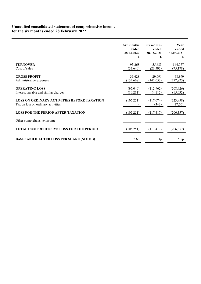## Unaudited consolidated statement of comprehensive income for the six months ended 28 February 2022

|                                                    | Six months | Six months | Year       |
|----------------------------------------------------|------------|------------|------------|
|                                                    | ended      | ended      | ended      |
|                                                    | 28.02.2022 | 28.02.2021 | 31.08.2021 |
|                                                    | £          | £          | £          |
| <b>TURNOVER</b>                                    | 93,268     | 55,683     | 144,077    |
| Cost of sales                                      | (53, 640)  | (26, 592)  | (75, 178)  |
| <b>GROSS PROFIT</b>                                | 39,628     | 29,091     | 68,899     |
| Administrative expenses                            | (134, 668) | (142, 053) | (277, 825) |
| <b>OPERATING LOSS</b>                              | (95,040)   | (112,962)  | (208, 926) |
| Interest payable and similar charges               | (10,211)   | (4,112)    | (15,032)   |
| <b>LOSS ON ORDINARY ACTIVITIES BEFORE TAXATION</b> | (105, 251) | (117,074)  | (223, 958) |
| Tax on loss on ordinary activities                 |            | (343)      | 17,601     |
| <b>LOSS FOR THE PERIOD AFTER TAXATION</b>          | (105, 251) | (117, 417) | (206, 357) |
| Other comprehensive income                         |            |            |            |
| <b>TOTAL COMPREHENSIVE LOSS FOR THE PERIOD</b>     | (105, 251) | (117, 417) | (206, 357) |
| <b>BASIC AND DILUTED LOSS PER SHARE (NOTE 3)</b>   | 2.6p       | 3.3p       | 5.5p       |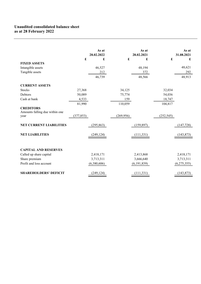|                                                    |            | As at<br>28.02.2022 |                      | As at<br>28.02.2021 |            | As at<br>31.08.2021 |
|----------------------------------------------------|------------|---------------------|----------------------|---------------------|------------|---------------------|
|                                                    | £          | £                   | $\pmb{\mathfrak{L}}$ | £                   | £          | £                   |
| <b>FIXED ASSETS</b>                                |            |                     |                      |                     |            |                     |
| Intangible assets                                  |            | 46,527              |                      | 48,194              |            | 48,621              |
| Tangible assets                                    |            | 212                 |                      | 372                 |            | 292                 |
|                                                    |            | 46,739              |                      | 48,566              |            | 48,913              |
| <b>CURRENT ASSETS</b>                              |            |                     |                      |                     |            |                     |
| <b>Stocks</b>                                      | 27,368     |                     | 34,125               |                     | 32,034     |                     |
| Debtors                                            | 50,089     |                     | 75,774               |                     | 54,036     |                     |
| Cash at bank                                       | 4,533      |                     | 159                  |                     | 18,747     |                     |
|                                                    | 81,990     |                     | 110,059              |                     | 104,817    |                     |
| <b>CREDITORS</b><br>Amounts falling due within one |            |                     |                      |                     |            |                     |
| year                                               | (377, 853) |                     | (269, 956)           |                     | (252, 545) |                     |
| <b>NET CURRENT LIABILITIES</b>                     |            | (295, 863)          |                      | (159, 897)          |            | (147, 728)          |
| <b>NET LIABILITIES</b>                             |            | (249, 124)          |                      | (111, 331)          |            | (143, 873)          |
| <b>CAPITAL AND RESERVES</b>                        |            |                     |                      |                     |            |                     |
| Called up share capital                            |            | 2,418,171           |                      | 2,413,868           |            | 2,418,171           |
| Share premium                                      |            | 3,713,311           |                      | 3,666,640           |            | 3,713,311           |
| Profit and loss account                            |            | (6,380,606)         |                      | (6, 191, 839)       |            | (6,275,355)         |
| <b>SHAREHOLDERS' DEFICIT</b>                       |            | (249, 124)          |                      | (111, 331)          |            | (143, 873)          |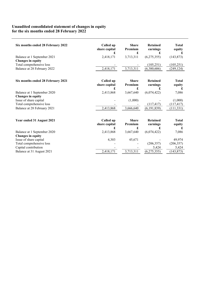## Unaudited consolidated statement of changes in equity for the six months ended 28 February 2022

| Six months ended 28 February 2022 | Called up<br>share capital<br>£ | <b>Share</b><br>Premium<br>£ | <b>Retained</b><br>earnings<br>£ | <b>Total</b><br>equity<br>£ |
|-----------------------------------|---------------------------------|------------------------------|----------------------------------|-----------------------------|
| Balance at 1 September 2021       | 2,418,171                       | 3,713,311                    | (6,275,355)                      | (143, 873)                  |
| <b>Changes in equity</b>          |                                 |                              |                                  |                             |
| Total comprehensive loss          |                                 |                              | (105, 251)                       | (105, 251)                  |
| Balance at 28 February 2022       | 2,418,171                       | 3,713,311                    | (6,380,606)                      | (249, 124)                  |
|                                   |                                 |                              |                                  |                             |
| Six months ended 28 February 2021 | Called up                       | <b>Share</b>                 | <b>Retained</b>                  | <b>Total</b>                |
|                                   | share capital                   | Premium                      | earnings                         | equity                      |
|                                   | £                               | £                            | £                                | £                           |
| Balance at 1 September 2020       | 2,413,868                       | 3,667,640                    | (6,074,422)                      | 7,086                       |
| <b>Changes in equity</b>          |                                 |                              |                                  |                             |
| Issue of share capital            |                                 | (1,000)                      |                                  | (1,000)                     |
| Total comprehensive loss          |                                 |                              | (117, 417)                       | (117, 417)                  |
| Balance at 28 February 2021       | 2,413,868                       | 3,666,640                    | (6, 191, 839)                    | (111, 331)                  |
|                                   |                                 |                              |                                  |                             |
| Year ended 31 August 2021         | Called up                       | <b>Share</b>                 | <b>Retained</b>                  | <b>Total</b>                |
|                                   | share capital                   | Premium                      | earnings                         | equity                      |
|                                   | £                               | £                            | £                                | £                           |
| Balance at 1 September 2020       | 2,413,868                       | 3,667,640                    | (6,074,422)                      | 7,086                       |
| <b>Changes in equity</b>          |                                 |                              |                                  |                             |
| Issue of share capital            | 4,303                           | 45,671                       |                                  | 49,974                      |
| Total comprehensive loss          |                                 |                              | (206, 357)                       | (206, 357)                  |
| Capital contribution              |                                 |                              | 5,424                            | 5,424                       |
| Balance at 31 August 2021         | 2,418,171                       | 3,713,311                    | (6,275,355)                      | (143, 873)                  |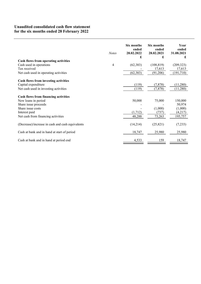## Unaudited consolidated cash flow statement for the six months ended 28 February 2022

|                                                  | <b>Notes</b> | Six months<br>ended<br>28.02.2022<br>£ | Six months<br>ended<br>28.02.2021<br>£ | Year<br>ended<br>31.08.2021<br>£ |
|--------------------------------------------------|--------------|----------------------------------------|----------------------------------------|----------------------------------|
| Cash flows from operating activities             |              |                                        |                                        |                                  |
| Cash used in operations                          | 4            | (62, 383)                              | (108, 819)                             | (209, 323)                       |
| Tax received                                     |              |                                        | 17,613                                 | 17,613                           |
| Net cash used in operating activities            |              | (62, 383)                              | (91,206)                               | (191,710)                        |
| Cash flows from investing activities             |              |                                        |                                        |                                  |
| Capital expenditure                              |              | (119)                                  | (7, 878)                               | (11,280)                         |
| Net cash used in investing activities            |              | (119)                                  | (7, 878)                               | (11,280)                         |
|                                                  |              |                                        |                                        |                                  |
| Cash flows from financing activities             |              |                                        |                                        |                                  |
| New loans in period                              |              | 50,000                                 | 75,000                                 | 150,000                          |
| Share issue proceeds                             |              |                                        |                                        | 50,974                           |
| Share issue costs                                |              |                                        | (1,000)                                | (1,000)                          |
| Interest paid                                    |              | (1,712)                                | (737)                                  | (4,217)                          |
| Net cash from financing activities               |              | 48,288                                 | 73,263                                 | 195,757                          |
| (Decrease)/increase in cash and cash equivalents |              | (14,214)                               | (25, 821)                              | (7,233)                          |
| Cash at bank and in hand at start of period      |              | 18,747                                 | 25,980                                 | 25,980                           |
| Cash at bank and in hand at period end           |              | 4,533                                  | 159                                    | 18,747                           |